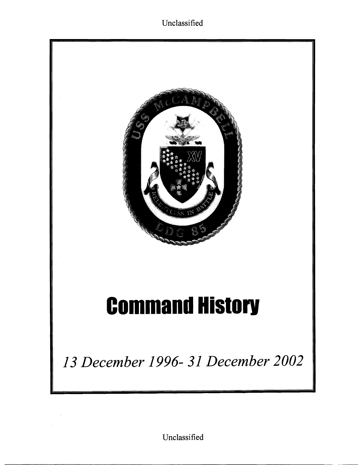Unclassified



Unclassified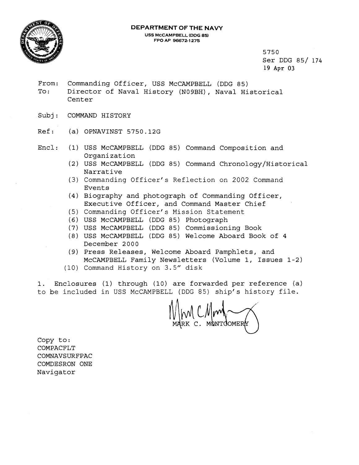**DEPARTMENT OF THE NAVY USS MCCAMPBELL (DDG 85) FPO AP 96672-1 275** 



5750 Ser DDG 85/ 174 19 Apr **03** 

- From: Commanding Officer, USS McCAMPBELL (DDG 85) To: Director of Naval History (N09BH), Naval Historical Center
- Subj: COMMAND HISTORY
- Ref: (a) OPNAVINST 5750.12G
- Encl : f **1)** USS McCAMPBELL (DDG 85) Command Composition and Organization
	- (2) USS McCAMPBELL (DDG 85) Command Chronology/Historical Narrative
	- (3) Commanding Officer's Reflection on 2002 Command Events
	- (4) Biography and photograph of Commanding Officer, Executive Officer, and Command Master Chief
	- (5) Commanding Officer's Mission Statement
	- USS McCAMPBELL (DDG 85) Photograph
	- USS McCAMPBELL (DDG 85) Commissioning Book
	- USS McCAMPBELL (DDG 85) Welcome Aboard Book of 4 December 2000
	- (9) Press Releases, Welcome Aboard Pamphlets, and McCAMPBELL Family Newsletters (Volume 1, Issues **1-2)**
	- (10) Command History on 3.5" disk

1. Enclosures (1) through (10) are forwarded per reference (a) to be included in USS McCAMPBELL (DDG 85) ship's history file.

**n A .I I** ,,

Copy to : COMPACFLT COMNAVSURFPAC COMDESRON ONE Navigator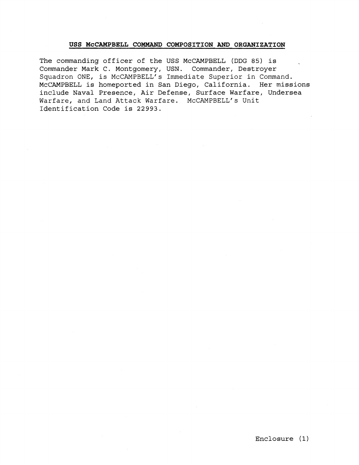## **USS McCAMPBELL COMMAND COMPOSITION AND ORGANIZATION**

The commanding officer of the USS McCAMPBELL (DDG 85) is Commander Mark C. Montgomery, USN. Commander, Destroyer Squadron ONE, is McCAMPBELL's Immediate Superior in Command. McCAMPBELL is homeported in San Diego, California. Her missions include Naval Presence, Air Defense, Surface Warfare, Undersea Warfare, and Land Attack Warfare. McCAMPBELL's Unit Identification Code is 22993.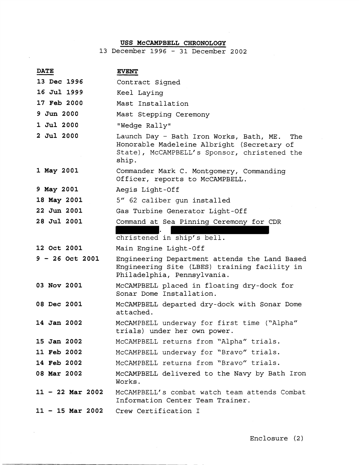## **USS McCAMPBELL CHRONOLOGY**

 $\langle \cdot, \cdot \rangle$ 

 $\sim 10^{-1}$ 

|                    | USS MCCAMPBELL CHRONOLOGY<br>13 December 1996 - 31 December 2002                                                             |
|--------------------|------------------------------------------------------------------------------------------------------------------------------|
| <b>DATE</b>        | <b>EVENT</b>                                                                                                                 |
| 13 Dec 1996        | Contract Signed                                                                                                              |
| 16 Jul 1999        | Keel Laying                                                                                                                  |
| 17 Feb 2000        | Mast Installation                                                                                                            |
| 9 Jun 2000         | Mast Stepping Ceremony                                                                                                       |
| 1 Jul 2000         | "Wedge Rally"                                                                                                                |
| 2 Jul 2000         | Launch Day - Bath Iron Works, Bath, ME.                                                                                      |
|                    | The<br>Honorable Madeleine Albright (Secretary of<br>State), McCAMPBELL's Sponsor, christened the<br>ship.                   |
| 1 May 2001         | Commander Mark C. Montgomery, Commanding<br>Officer, reports to McCAMPBELL.                                                  |
| 9 May 2001         | Aegis Light-Off                                                                                                              |
| 18 May 2001        | 5" 62 caliber gun installed                                                                                                  |
| 22 Jun 2001        | Gas Turbine Generator Light-Off                                                                                              |
| 28 Jul 2001        | Command at Sea Pinning Ceremony for CDR                                                                                      |
|                    | christened in ship's bell.                                                                                                   |
| 12 Oct 2001        | Main Engine Light-Off                                                                                                        |
| $9 - 26$ Oct 2001  | Engineering Department attends the Land Based<br>Engineering Site (LBES) training facility in<br>Philadelphia, Pennsylvania. |
| 03 Nov 2001        | McCAMPBELL placed in floating dry-dock for<br>Sonar Dome Installation.                                                       |
| 08 Dec 2001        | McCAMPBELL departed dry-dock with Sonar Dome<br>attached.                                                                    |
| <b>14 Jan 2002</b> | McCAMPBELL underway for first time ("Alpha"<br>trials) under her own power.                                                  |
| 15 Jan 2002        | McCAMPBELL returns from "Alpha" trials.                                                                                      |
| 11 Feb 2002        | McCAMPBELL underway for "Bravo" trials.                                                                                      |
| 14 Feb 2002        | McCAMPBELL returns from "Bravo" trials.                                                                                      |
| 08 Mar 2002        | McCAMPBELL delivered to the Navy by Bath Iron<br>Works.                                                                      |
| $11 - 22$ Mar 2002 | McCAMPBELL's combat watch team attends Combat<br>Information Center Team Trainer.                                            |
| $11 - 15$ Mar 2002 | Crew Certification I                                                                                                         |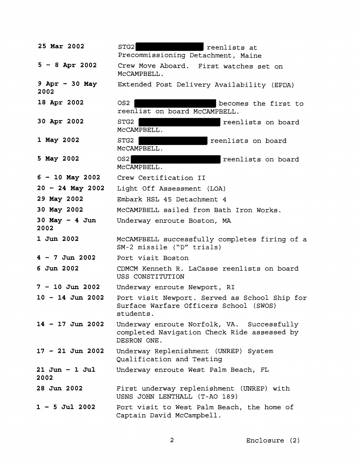**25 Mar 2002 STG2 STG2 STG2 STG2 STG2 STG2** Precommissioning Detachment, Maine **<sup>5</sup>**- **<sup>8</sup>Apr <sup>2002</sup> 9 Apr** - **30 May 2002 18 Apr 2002 30 Apr 2002 1 May 2002 5 May 2002 <sup>6</sup>**- **10 May 2002 <sup>20</sup>**- **24 May 2002 29 May 2002 30 May 2002 30 May** - **4 Jun 2002 1 Jun 2002 <sup>4</sup>**- **7 Jun <sup>2002</sup> 6 Jun 2002 <sup>7</sup>**- **10 Jun <sup>2002</sup> <sup>10</sup>**- **14 Jun <sup>2002</sup> <sup>14</sup>**- **17 Jun <sup>2002</sup> <sup>17</sup>**- **21 Jun <sup>2002</sup> <sup>21</sup>Jun** - **1 Jul 2002 28 Jun 2002 <sup>1</sup>**- **5 Jul <sup>2002</sup>** crew' Move Aboard. First watches set on McCAMPBELL. Extended Post Delivery Availability (EPDA) 0S2 becomes the first to reenlist on board McCAMPBELL. STG2 reenlists on board McCAMPBELL . STG2 Teenlists on board McCAMPBELL . 0S2 **parameter** reenlists on board McCAMPBELL. Crew Certification I1 Light Off Assessment (LOA) Embark HSL 45 Detachment 4 McCAMPBELL sailed from Bath Iron Works. Underway enroute Boston, MA McCAMPBELL successfully completes firing of a SM-2 missile **("D"** trials) Port visit Boston CDMCM Kenneth R. LaCasse reenlists on board USS CONSTITUTION Underway enroute Newport, RI Port visit Newport. Served as School Ship for Surface Warfare Officers School (SWOS) students . Underway enroute Norfolk, VA. Successfully completed Navigation Check Ride assessed by DESRON ONE. Underway Replenishment (UNREP) System Qualification and Testing Underway enroute West Palm Beach, FL First underway replenishment (UNREP) with USNS JOHN LENTHALL (T-A0 189) Port visit to West Palm Beach, the home of Captain David McCampbell.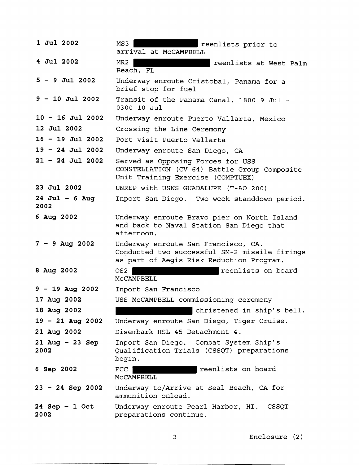| 1 Jul 2002                | MS3<br>reenlists prior to<br>arrival at McCAMPBELL                                                                               |
|---------------------------|----------------------------------------------------------------------------------------------------------------------------------|
| 4 Jul 2002                | MR <sub>2</sub><br>reenlists at West Palm<br>Beach, FL                                                                           |
| $5 - 9$ Jul 2002          | Underway enroute Cristobal, Panama for a<br>brief stop for fuel                                                                  |
| $9 - 10$ Jul 2002         | Transit of the Panama Canal, 1800 9 Jul -<br>0300 10 Jul                                                                         |
| $10 - 16$ Jul 2002        | Underway enroute Puerto Vallarta, Mexico                                                                                         |
| 12 Jul 2002               | Crossing the Line Ceremony                                                                                                       |
| $16 - 19$ Jul 2002        | Port visit Puerto Vallarta                                                                                                       |
| $19 - 24$ Jul 2002        | Underway enroute San Diego, CA                                                                                                   |
| $21 - 24$ Jul 2002        | Served as Opposing Forces for USS<br>CONSTELLATION (CV 64) Battle Group Composite<br>Unit Training Exercise (COMPTUEX)           |
| 23 Jul 2002               | UNREP with USNS GUADALUPE (T-AO 200)                                                                                             |
| $24$ Jul - 6 Aug<br>2002  | Inport San Diego. Two-week standdown period.                                                                                     |
| 6 Aug 2002                | Underway enroute Bravo pier on North Island<br>and back to Naval Station San Diego that<br>afternoon.                            |
| $7 - 9$ Aug 2002          | Underway enroute San Francisco, CA.<br>Conducted two successful SM-2 missile firings<br>as part of Aegis Risk Reduction Program. |
| 8 Aug 2002                | OS2<br>reenlists on board<br>MCCAMPBELL                                                                                          |
| $9 - 19$ Aug 2002         | Inport San Francisco                                                                                                             |
| 17 Aug 2002               | USS McCAMPBELL commissioning ceremony                                                                                            |
| 18 Aug 2002               | christened in ship's bell.                                                                                                       |
| $19 - 21$ Aug 2002        | Underway enroute San Diego, Tiger Cruise.                                                                                        |
| 21 Aug 2002               | Disembark HSL 45 Detachment 4.                                                                                                   |
| $21$ Aug - 23 Sep<br>2002 | Inport San Diego. Combat System Ship's<br>Qualification Trials (CSSQT) preparations<br>begin.                                    |
| 6 Sep 2002                | reenlists on board<br><b>FCC</b><br>MCCAMPBELL                                                                                   |
| $23 - 24$ Sep 2002        | Underway to/Arrive at Seal Beach, CA for<br>ammunition onload.                                                                   |
| $24$ Sep - 1 Oct<br>2002  | Underway enroute Pearl Harbor, HI. CSSQT<br>preparations continue.                                                               |

3 Enclosure (2)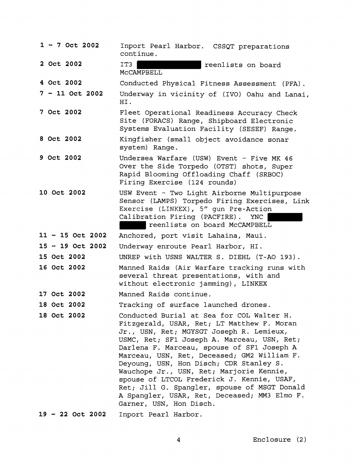| $1 - 7$ Oct 2002   | Inport Pearl Harbor. CSSQT preparations                                                                                                                                                                                                                                                                                                                                                                                                                                                                                                         |
|--------------------|-------------------------------------------------------------------------------------------------------------------------------------------------------------------------------------------------------------------------------------------------------------------------------------------------------------------------------------------------------------------------------------------------------------------------------------------------------------------------------------------------------------------------------------------------|
|                    | continue.                                                                                                                                                                                                                                                                                                                                                                                                                                                                                                                                       |
| 2 Oct 2002         | IT3<br>reenlists on board<br><b>MCCAMPBELL</b>                                                                                                                                                                                                                                                                                                                                                                                                                                                                                                  |
| 4 Oct 2002         | Conducted Physical Fitness Assessment (PFA).                                                                                                                                                                                                                                                                                                                                                                                                                                                                                                    |
| $7 - 11$ Oct 2002  | Underway in vicinity of (IVO) Oahu and Lanai,<br>HI.                                                                                                                                                                                                                                                                                                                                                                                                                                                                                            |
| 7 Oct 2002         | Fleet Operational Readiness Accuracy Check<br>Site (FORACS) Range, Shipboard Electronic<br>Systems Evaluation Facility (SESEF) Range.                                                                                                                                                                                                                                                                                                                                                                                                           |
| 8 Oct 2002         | Kingfisher (small object avoidance sonar<br>system) Range.                                                                                                                                                                                                                                                                                                                                                                                                                                                                                      |
| 9 Oct 2002         | Undersea Warfare (USW) Event - Five MK 46<br>Over the Side Torpedo (OTST) shots, Super<br>Rapid Blooming Offloading Chaff (SRBOC)<br>Firing Exercise (124 rounds)                                                                                                                                                                                                                                                                                                                                                                               |
| 10 Oct 2002        | USW Event - Two Light Airborne Multipurpose<br>Sensor (LAMPS) Torpedo Firing Exercises, Link<br>Exercise (LINKEX), 5" gun Pre-Action<br>Calibration Firing (PACFIRE). YNC<br>reenlists on board McCAMPBELL                                                                                                                                                                                                                                                                                                                                      |
| $11 - 15$ Oct 2002 | Anchored, port visit Lahaina, Maui.                                                                                                                                                                                                                                                                                                                                                                                                                                                                                                             |
| $15 - 19$ Oct 2002 | Underway enroute Pearl Harbor, HI.                                                                                                                                                                                                                                                                                                                                                                                                                                                                                                              |
| 15 Oct 2002        | UNREP with USNS WALTER S. DIEHL (T-AO 193).                                                                                                                                                                                                                                                                                                                                                                                                                                                                                                     |
| 16 Oct 2002        | Manned Raids (Air Warfare tracking runs with<br>several threat presentations, with and<br>without electronic jamming), LINKEX                                                                                                                                                                                                                                                                                                                                                                                                                   |
| 17 Oct 2002        | Manned Raids continue.                                                                                                                                                                                                                                                                                                                                                                                                                                                                                                                          |
| 18 Oct 2002        | Tracking of surface launched drones.                                                                                                                                                                                                                                                                                                                                                                                                                                                                                                            |
| 18 Oct 2002        | Conducted Burial at Sea for COL Walter H.<br>Fitzgerald, USAR, Ret; LT Matthew F. Moran<br>Jr., USN, Ret; MGYSGT Joseph R. Lemieux,<br>USMC, Ret; SF1 Joseph A. Marceau, USN, Ret;<br>Darlena F. Marceau, spouse of SF1 Joseph A<br>Marceau, USN, Ret, Deceased; GM2 William F.<br>Deyoung, USN, Hon Disch; CDR Stanley S.<br>Wauchope Jr., USN, Ret; Marjorie Kennie,<br>spouse of LTCOL Frederick J. Kennie, USAF,<br>Ret; Jill G. Spangler, spouse of MSGT Donald<br>A Spangler, USAR, Ret, Deceased; MM3 Elmo F.<br>Garner, USN, Hon Disch. |
| $19 - 22$ Oct 2002 | Inport Pearl Harbor.                                                                                                                                                                                                                                                                                                                                                                                                                                                                                                                            |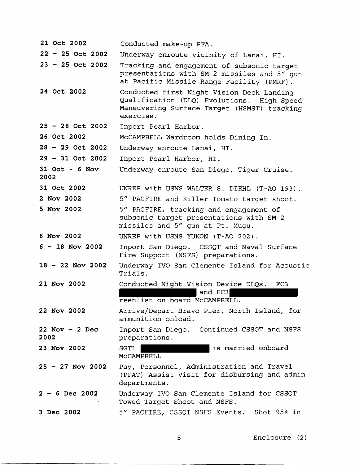| 21 Oct 2002                | Conducted make-up PFA.                                                                                                                              |
|----------------------------|-----------------------------------------------------------------------------------------------------------------------------------------------------|
| $22 - 25$ Oct 2002         | Underway enroute vicinity of Lanai, HI.                                                                                                             |
| $23 - 25$ Oct 2002         | Tracking and engagement of subsonic target<br>presentations with SM-2 missiles and 5" qun<br>at Pacific Missile Range Facility (PMRF).              |
| 24 Oct 2002                | Conducted first Night Vision Deck Landing<br>Qualification (DLQ) Evolutions. High Speed<br>Maneuvering Surface Target (HSMST) tracking<br>exercise. |
| $25 - 28$ Oct 2002         | Inport Pearl Harbor.                                                                                                                                |
| 26 Oct 2002                | McCAMPBELL Wardroom holds Dining In.                                                                                                                |
| $28 - 29$ Oct 2002         | Underway enroute Lanai, HI.                                                                                                                         |
| $29 - 31$ Oct 2002         | Inport Pearl Harbor, HI.                                                                                                                            |
| $31$ Oct - $6$ Nov<br>2002 | Underway enroute San Diego, Tiger Cruise.                                                                                                           |
| 31 Oct 2002                | UNREP with USNS WALTER S. DIEHL (T-AO 193).                                                                                                         |
| 2 Nov 2002                 | 5" PACFIRE and Killer Tomato target shoot.                                                                                                          |
| 5 Nov 2002                 | 5" PACFIRE, tracking and engagement of<br>subsonic target presentations with SM-2<br>missiles and 5" gun at Pt. Mugu.                               |
| 6 Nov 2002                 | UNREP with USNS YUKON (T-AO 202).                                                                                                                   |
| $6 - 18$ Nov 2002          | Inport San Diego. CSSQT and Naval Surface<br>Fire Support (NSFS) preparations.                                                                      |
|                            |                                                                                                                                                     |
| $18 - 22$ Nov 2002         | Underway IVO San Clemente Island for Acoustic<br>Trials.                                                                                            |
| 21 Nov 2002                | Conducted Night Vision Device DLQs.<br>FC3<br>and FC3<br>reenlist on board McCAMPBELL.                                                              |
| 22 Nov 2002                | Arrive/Depart Bravo Pier, North Island, for<br>ammunition onload.                                                                                   |
| $22$ Nov - 2 Dec<br>2002   | Inport San Diego. Continued CSSQT and NSFS<br>preparations.                                                                                         |
| 23 Nov 2002                | is married onboard<br>SGT1<br>MCCAMPBELL                                                                                                            |
| $25 - 27$ Nov 2002         | Pay, Personnel, Administration and Travel<br>(PPAT) Assist Visit for disbursing and admin<br>departments.                                           |
| $2 - 6$ Dec 2002           | Underway IVO San Clemente Island for CSSQT<br>Towed Target Shoot and NSFS.                                                                          |

5 Enclosure (2)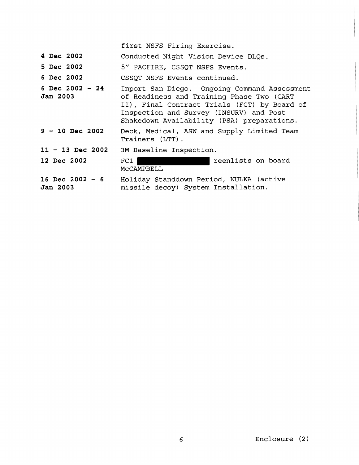|                                    | first NSFS Firing Exercise.                                                                                                                                                                                                        |
|------------------------------------|------------------------------------------------------------------------------------------------------------------------------------------------------------------------------------------------------------------------------------|
| 4 Dec 2002                         | Conducted Night Vision Device DLQs.                                                                                                                                                                                                |
| 5 Dec 2002                         | 5" PACFIRE, CSSQT NSFS Events.                                                                                                                                                                                                     |
| 6 Dec 2002                         | CSSOT NSFS Events continued.                                                                                                                                                                                                       |
| 6 Dec 2002 - 24<br><b>Jan 2003</b> | Inport San Diego. Ongoing Command Assessment<br>of Readiness and Training Phase Two (CART<br>II), Final Contract Trials (FCT) by Board of<br>Inspection and Survey (INSURV) and Post<br>Shakedown Availability (PSA) preparations. |
| $9 - 10$ Dec 2002                  | Deck, Medical, ASW and Supply Limited Team<br>Trainers (LTT).                                                                                                                                                                      |
| $11 - 13$ Dec 2002                 | 3M Baseline Inspection.                                                                                                                                                                                                            |
| 12 Dec 2002                        | reenlists on board<br>FC1<br>MCCAMPBELL                                                                                                                                                                                            |
| 16 Dec 2002 - $6$<br>Jan 2003      | Holiday Standdown Period, NULKA (active<br>missile decoy) System Installation.                                                                                                                                                     |

 $\sim$   $\sim$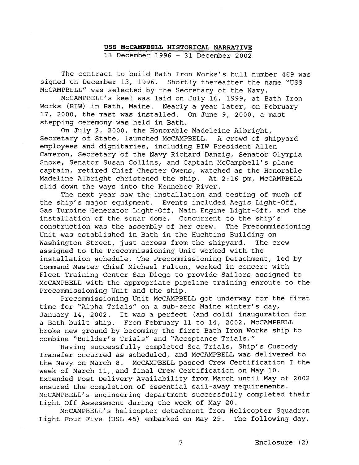## **USS McCAMPBELL HISTORICAL NARRATIVE**

13 December 1996 - 31 December 2002

The contract to build Bath Iron Works's hull number 469 was signed on December **13,** 1996. Shortly thereafter the name "USS McCAMPBELL" was selected by the Secretary of the Navy.

McCAMPBELL's keel was laid on July 16, 1999, at Bath Iron Works (BIW) in Bath, Maine. Nearly a year later, on February 17, 2000, the mast was installed. On June 9, 2000, a mast stepping ceremony was held in Bath.

On July 2, 2000, the Honorable Madeleine Albright, Secretary of State, launched McCAMPBELL. A crowd of shipyard employees and dignitaries, including BIW President Allen Cameron, Secretary of the Navy Richard Danzig, Senator Olympia Snowe, Senator Susan Collins, and Captain McCampbell's plane captain, retired Chief Chester Owens, watched as the Honorable Madeline Albright christened the ship. At 2:16 pm, McCAMPBELL slid down the ways into the Kennebec River.

The next year saw the installation and testing of much of the ship's major equipment. Events included Aegis Light-Off, Gas Turbine Generator Light-Off, Main Engine Light-Off, and the installation of the sonar dome. Concurrent to the ship's construction was the assembly of her crew. The Precommissioning Unit was established in Bath in the Huchtins Building on Washington Street, just across from the shipyard. The crew assigned to the Precommissioning Unit worked with the installation schedule. The Precommissioning Detachment, led by Command Master Chief Michael Fulton, worked in concert with Fleet Training Center San Diego to provide Sailors assigned to McCAMPBELL with the appropriate pipeline training enroute to the Precommissioning Unit and the ship.

Precommissioning Unit McCAMPBELL got underway for the first time for "Alpha Trials" on a sub-zero Maine winter's day, January 14, 2002. It was a perfect (and cold) inauguration for a Bath-built ship. From February 11 to 14, 2002, McCAMPBELL broke new ground by becoming the first Bath Iron Works ship to combine "Builder's Trials" and "Acceptance Trials."

Having successfully completed Sea Trials, Ship's Custody Transfer occurred as scheduled, and McCAMPBELL was delivered to the Navy on March 8. McCAMPBELL passed Crew Certification I the week of March 11, and final Crew Certification on May 10. Extended Post Delivery Availability from March until May of 2002 ensured the completion of essential sail-away requirements. McCAMPBELL's engineering department successfully completed their Light Off Assessment during the week of May 20.

McCAMPBELL's helicopter detachment from Helicopter Squadron Light Four Five (HSL 45) embarked on May 29. The following day,

7 Enclosure (2)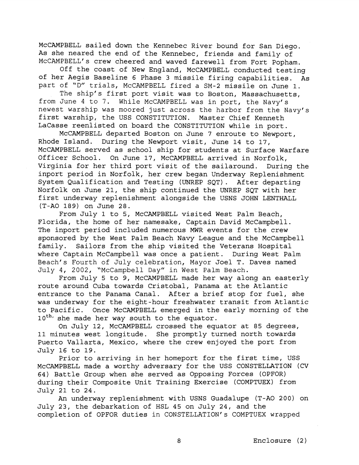McCAMPBELL sailed down the Kennebec River bound for San Diego. As she neared the end of the Kennebec, friends and family of McCAMPBELL's crew cheered and waved farewell from Fort Popham.

Off the coast of New England, McCAMPBELL conducted testing of her Aegis Baseline 6 Phase **3** missile firing capabilities. As part of "D" trials, McCAMPBELL fired a SM-2 missile on June 1.

The ship's first port visit was to Boston, Massachusetts, from June 4 to 7. While McCAMPBELL was in port, the Navy's newest warship was moored just across the harbor from the Navy's first warship, the USS CONSTITUTION. Master Chief Kenneth LaCasse reenlisted on board the CONSTITUTION while in port.

McCAMPBELL departed Boston on June 7 enroute to Newport, Rhode Island. During the Newport visit, June 14 to 17, McCAMPBELL served as school ship for students at Surface Warfare Officer School. On June 17, McCAMPBELL arrived in Norfolk, Virginia for her third port visit of the sailaround. During the inpart period in Norfolk, her crew began Underway Replenishment System Qualification and Testing (UNREP SQT) . After departing Norfolk on June 21, the ship continued the UNREP SQT with her first underway replenishment alongside the USNS JOHN LENTHALL (T-A0 189) on June 28.

From July 1 to 5, McCAMPBELL visited West Palm Beach, Florida, the home of her namesake, Captain David McCampbell. The inport period included numerous MWR events for the crew sponsored by the West Palm Beach Navy League and the McCampbell family. Sailors from the ship visited the Veterans Hospital where Captain McCampbell was once a patient. During West Palm Beach's Fourth of July celebration, Mayor Joel T. Daves named July 4, 2002, "McCampbell Day" in West Palm Beach.

From July 5 to 9, McCAMPBELL made her way along an easterly route around Cuba towards Cristobal, Panama at the Atlantic entrance to the Panama Canal. After a brief stop for fuel, she was underway for the eight-hour freshwater transit from Atlantic to Pacific. Once McCAMPBELL emerged in the early morning of the 10<sup>th,</sup> she made her way south to the equator.

On July 12, McCAMPBELL crossed the equator at 85 degrees, 11 minutes west longitude. She promptly turned north towards Puerto Vallarta, Mexico, where the crew enjoyed the port from July **16** to 19.

Prior to arriving in her homeport for the first time, USS McCAMPBELL made a worthy adversary for the USS CONSTELLATION (CV 64) Battle Group when she served as Opposing Forces (OPFOR) during their Composite Unit Training Exercise (COMPTUEX) from July 21 to 24.

**An** underway replenishment with USNS Guadalupe (T-A0 200) on July 23, the debarkation of HSL 45 on July 24, and the completion of OPFOR duties in CONSTELLATION's COMPTUEX wrapped